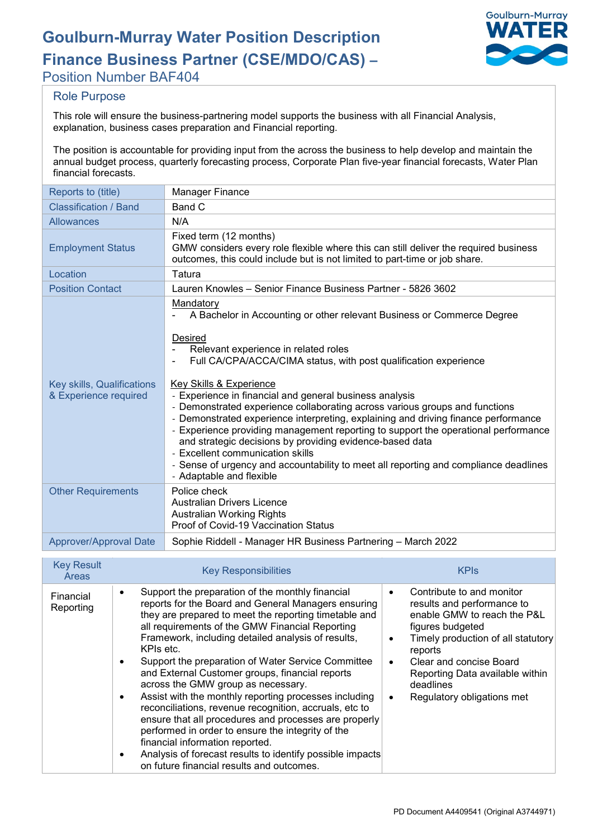# **Goulburn-Murray Water Position Description**

**Finance Business Partner (CSE/MDO/CAS) –**



Position Number BAF404

## Role Purpose

This role will ensure the business-partnering model supports the business with all Financial Analysis, explanation, business cases preparation and Financial reporting.

The position is accountable for providing input from the across the business to help develop and maintain the annual budget process, quarterly forecasting process, Corporate Plan five-year financial forecasts, Water Plan financial forecasts.

| Reports to (title)                                  | <b>Manager Finance</b>                                                                                                                                                                                                                                                                                                                                                                                                                                                                                                                                                                                                                                                                                                                                                                            |
|-----------------------------------------------------|---------------------------------------------------------------------------------------------------------------------------------------------------------------------------------------------------------------------------------------------------------------------------------------------------------------------------------------------------------------------------------------------------------------------------------------------------------------------------------------------------------------------------------------------------------------------------------------------------------------------------------------------------------------------------------------------------------------------------------------------------------------------------------------------------|
| Classification / Band                               | Band C                                                                                                                                                                                                                                                                                                                                                                                                                                                                                                                                                                                                                                                                                                                                                                                            |
| <b>Allowances</b>                                   | N/A                                                                                                                                                                                                                                                                                                                                                                                                                                                                                                                                                                                                                                                                                                                                                                                               |
| <b>Employment Status</b>                            | Fixed term (12 months)<br>GMW considers every role flexible where this can still deliver the required business<br>outcomes, this could include but is not limited to part-time or job share.                                                                                                                                                                                                                                                                                                                                                                                                                                                                                                                                                                                                      |
| Location                                            | Tatura                                                                                                                                                                                                                                                                                                                                                                                                                                                                                                                                                                                                                                                                                                                                                                                            |
| <b>Position Contact</b>                             | Lauren Knowles – Senior Finance Business Partner - 5826 3602                                                                                                                                                                                                                                                                                                                                                                                                                                                                                                                                                                                                                                                                                                                                      |
| Key skills, Qualifications<br>& Experience required | Mandatory<br>A Bachelor in Accounting or other relevant Business or Commerce Degree<br><b>Desired</b><br>Relevant experience in related roles<br>Full CA/CPA/ACCA/CIMA status, with post qualification experience<br><b>Key Skills &amp; Experience</b><br>- Experience in financial and general business analysis<br>- Demonstrated experience collaborating across various groups and functions<br>- Demonstrated experience interpreting, explaining and driving finance performance<br>- Experience providing management reporting to support the operational performance<br>and strategic decisions by providing evidence-based data<br>- Excellent communication skills<br>- Sense of urgency and accountability to meet all reporting and compliance deadlines<br>- Adaptable and flexible |
| <b>Other Requirements</b>                           | Police check<br><b>Australian Drivers Licence</b><br><b>Australian Working Rights</b><br>Proof of Covid-19 Vaccination Status                                                                                                                                                                                                                                                                                                                                                                                                                                                                                                                                                                                                                                                                     |
| Approver/Approval Date                              | Sophie Riddell - Manager HR Business Partnering - March 2022                                                                                                                                                                                                                                                                                                                                                                                                                                                                                                                                                                                                                                                                                                                                      |

| <b>Key Result</b><br>Areas | <b>Key Responsibilities</b>                                                                                                                                                                                                                                                                                                                                                                                                                                                                                                                                                                                                                                                                                                                                                                                                                                             | <b>KPIs</b>                                                                                                                                                                                                                                                          |
|----------------------------|-------------------------------------------------------------------------------------------------------------------------------------------------------------------------------------------------------------------------------------------------------------------------------------------------------------------------------------------------------------------------------------------------------------------------------------------------------------------------------------------------------------------------------------------------------------------------------------------------------------------------------------------------------------------------------------------------------------------------------------------------------------------------------------------------------------------------------------------------------------------------|----------------------------------------------------------------------------------------------------------------------------------------------------------------------------------------------------------------------------------------------------------------------|
| Financial<br>Reporting     | Support the preparation of the monthly financial<br>$\bullet$<br>reports for the Board and General Managers ensuring<br>they are prepared to meet the reporting timetable and<br>all requirements of the GMW Financial Reporting<br>Framework, including detailed analysis of results,<br>KPIs etc.<br>Support the preparation of Water Service Committee<br>$\bullet$<br>and External Customer groups, financial reports<br>across the GMW group as necessary.<br>Assist with the monthly reporting processes including<br>$\bullet$<br>reconciliations, revenue recognition, accruals, etc to<br>ensure that all procedures and processes are properly<br>performed in order to ensure the integrity of the<br>financial information reported.<br>Analysis of forecast results to identify possible impacts<br>$\bullet$<br>on future financial results and outcomes. | Contribute to and monitor<br>results and performance to<br>enable GMW to reach the P&L<br>figures budgeted<br>Timely production of all statutory<br>reports<br>Clear and concise Board<br>Reporting Data available within<br>deadlines<br>Regulatory obligations met |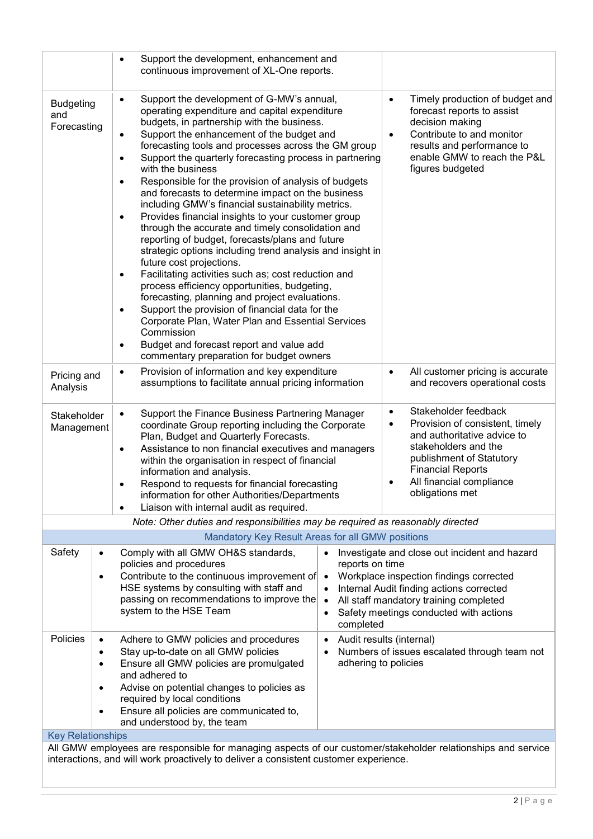|                                                                                                                                                                                                                                                                                                                                                                                                                                                                                                                                                                                                                                                                                                                                                                                                                                                                                                                                                                                                                                                                                                                                                                                                                                                        | Support the development, enhancement and<br>$\bullet$<br>continuous improvement of XL-One reports.                                                                                                                                                                                                                                             |                                                                                                                                                                                                                                                                                                                           |
|--------------------------------------------------------------------------------------------------------------------------------------------------------------------------------------------------------------------------------------------------------------------------------------------------------------------------------------------------------------------------------------------------------------------------------------------------------------------------------------------------------------------------------------------------------------------------------------------------------------------------------------------------------------------------------------------------------------------------------------------------------------------------------------------------------------------------------------------------------------------------------------------------------------------------------------------------------------------------------------------------------------------------------------------------------------------------------------------------------------------------------------------------------------------------------------------------------------------------------------------------------|------------------------------------------------------------------------------------------------------------------------------------------------------------------------------------------------------------------------------------------------------------------------------------------------------------------------------------------------|---------------------------------------------------------------------------------------------------------------------------------------------------------------------------------------------------------------------------------------------------------------------------------------------------------------------------|
| Support the development of G-MW's annual,<br>$\bullet$<br><b>Budgeting</b><br>operating expenditure and capital expenditure<br>and<br>budgets, in partnership with the business.<br>Forecasting<br>Support the enhancement of the budget and<br>$\bullet$<br>forecasting tools and processes across the GM group<br>Support the quarterly forecasting process in partnering<br>٠<br>with the business<br>Responsible for the provision of analysis of budgets<br>٠<br>and forecasts to determine impact on the business<br>including GMW's financial sustainability metrics.<br>Provides financial insights to your customer group<br>٠<br>through the accurate and timely consolidation and<br>reporting of budget, forecasts/plans and future<br>strategic options including trend analysis and insight in<br>future cost projections.<br>Facilitating activities such as; cost reduction and<br>$\bullet$<br>process efficiency opportunities, budgeting,<br>forecasting, planning and project evaluations.<br>Support the provision of financial data for the<br>$\bullet$<br>Corporate Plan, Water Plan and Essential Services<br>Commission<br>Budget and forecast report and value add<br>$\bullet$<br>commentary preparation for budget owners |                                                                                                                                                                                                                                                                                                                                                | Timely production of budget and<br>$\bullet$<br>forecast reports to assist<br>decision making<br>Contribute to and monitor<br>$\bullet$<br>results and performance to<br>enable GMW to reach the P&L<br>figures budgeted                                                                                                  |
| Provision of information and key expenditure<br>$\bullet$<br>$\bullet$<br>Pricing and<br>assumptions to facilitate annual pricing information<br>Analysis                                                                                                                                                                                                                                                                                                                                                                                                                                                                                                                                                                                                                                                                                                                                                                                                                                                                                                                                                                                                                                                                                              |                                                                                                                                                                                                                                                                                                                                                | All customer pricing is accurate<br>and recovers operational costs                                                                                                                                                                                                                                                        |
| Support the Finance Business Partnering Manager<br>$\bullet$<br>Stakeholder<br>coordinate Group reporting including the Corporate<br>Management<br>Plan, Budget and Quarterly Forecasts.<br>Assistance to non financial executives and managers<br>$\bullet$<br>within the organisation in respect of financial<br>information and analysis.<br>Respond to requests for financial forecasting<br>$\bullet$<br>information for other Authorities/Departments<br>Liaison with internal audit as required.                                                                                                                                                                                                                                                                                                                                                                                                                                                                                                                                                                                                                                                                                                                                                |                                                                                                                                                                                                                                                                                                                                                | Stakeholder feedback<br>$\bullet$<br>Provision of consistent, timely<br>٠<br>and authoritative advice to<br>stakeholders and the<br>publishment of Statutory<br><b>Financial Reports</b><br>All financial compliance<br>٠<br>obligations met                                                                              |
|                                                                                                                                                                                                                                                                                                                                                                                                                                                                                                                                                                                                                                                                                                                                                                                                                                                                                                                                                                                                                                                                                                                                                                                                                                                        | Note: Other duties and responsibilities may be required as reasonably directed                                                                                                                                                                                                                                                                 |                                                                                                                                                                                                                                                                                                                           |
|                                                                                                                                                                                                                                                                                                                                                                                                                                                                                                                                                                                                                                                                                                                                                                                                                                                                                                                                                                                                                                                                                                                                                                                                                                                        | Mandatory Key Result Areas for all GMW positions                                                                                                                                                                                                                                                                                               |                                                                                                                                                                                                                                                                                                                           |
| Safety                                                                                                                                                                                                                                                                                                                                                                                                                                                                                                                                                                                                                                                                                                                                                                                                                                                                                                                                                                                                                                                                                                                                                                                                                                                 | Comply with all GMW OH&S standards,<br>٠<br>policies and procedures<br>Contribute to the continuous improvement of<br>٠<br>HSE systems by consulting with staff and<br>passing on recommendations to improve the<br>system to the HSE Team                                                                                                     | Investigate and close out incident and hazard<br>$\bullet$<br>reports on time<br>Workplace inspection findings corrected<br>$\bullet$<br>Internal Audit finding actions corrected<br>$\bullet$<br>All staff mandatory training completed<br>$\bullet$<br>Safety meetings conducted with actions<br>$\bullet$<br>completed |
| Policies<br><b>Key Relationships</b>                                                                                                                                                                                                                                                                                                                                                                                                                                                                                                                                                                                                                                                                                                                                                                                                                                                                                                                                                                                                                                                                                                                                                                                                                   | Adhere to GMW policies and procedures<br>$\bullet$<br>Stay up-to-date on all GMW policies<br>Ensure all GMW policies are promulgated<br>$\bullet$<br>and adhered to<br>Advise on potential changes to policies as<br>٠<br>required by local conditions<br>Ensure all policies are communicated to,<br>$\bullet$<br>and understood by, the team | Audit results (internal)<br>Numbers of issues escalated through team not<br>adhering to policies                                                                                                                                                                                                                          |
|                                                                                                                                                                                                                                                                                                                                                                                                                                                                                                                                                                                                                                                                                                                                                                                                                                                                                                                                                                                                                                                                                                                                                                                                                                                        |                                                                                                                                                                                                                                                                                                                                                | All GMW employees are responsible for managing aspects of our customer/stakeholder relationships and service                                                                                                                                                                                                              |
|                                                                                                                                                                                                                                                                                                                                                                                                                                                                                                                                                                                                                                                                                                                                                                                                                                                                                                                                                                                                                                                                                                                                                                                                                                                        | interactions, and will work proactively to deliver a consistent customer experience.                                                                                                                                                                                                                                                           |                                                                                                                                                                                                                                                                                                                           |